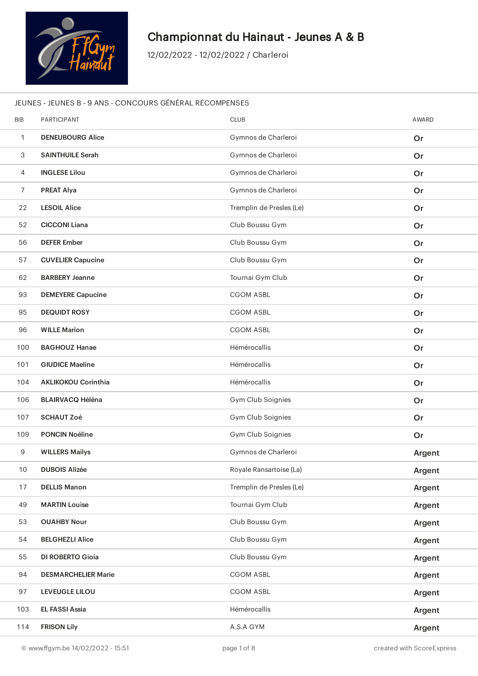

J

ł.

ł

ł

ł

ł

ı

## Championnat du Hainaut - Jeunes A & B

12/02/2022 - 12/02/2022 / Charleroi

#### JEUNES - JEUNES B - 9 ANS - CONCOURS GÉNÉRAL RÉCOMPENSES

| <b>BIB</b>     | <b>PARTICIPANT</b>         | <b>CLUB</b>              | AWARD  |
|----------------|----------------------------|--------------------------|--------|
| $\mathbf{1}$   | <b>DENEUBOURG Alice</b>    | Gymnos de Charleroi      | Or     |
| 3              | <b>SAINTHUILE Serah</b>    | Gymnos de Charleroi      | Or     |
| 4              | <b>INGLESE Lilou</b>       | Gymnos de Charleroi      | Or     |
| $\overline{7}$ | <b>PREAT Alya</b>          | Gymnos de Charleroi      | Or     |
| 22             | <b>LESOIL Alice</b>        | Tremplin de Presles (Le) | Or     |
| 52             | <b>CICCONI Liana</b>       | Club Boussu Gym          | Or     |
| 56             | <b>DEFER Ember</b>         | Club Boussu Gym          | Or     |
| 57             | <b>CUVELIER Capucine</b>   | Club Boussu Gym          | Or     |
| 62             | <b>BARBERY Jeanne</b>      | Tournai Gym Club         | Or     |
| 93             | <b>DEMEYERE Capucine</b>   | <b>CGOM ASBL</b>         | Or     |
| 95             | <b>DEQUIDT ROSY</b>        | <b>CGOM ASBL</b>         | Or     |
| 96             | <b>WILLE Marion</b>        | <b>CGOM ASBL</b>         | Or     |
| 100            | <b>BAGHOUZ Hanae</b>       | Hémérocallis             | Or     |
| 101            | <b>GIUDICE Maeline</b>     | Hémérocallis             | Or     |
| 104            | <b>AKLIKOKOU Corinthia</b> | Hémérocallis             | Or     |
| 106            | <b>BLAIRVACQ Héléna</b>    | Gym Club Soignies        | Or     |
| 107            | <b>SCHAUT Zoé</b>          | Gym Club Soignies        | Or     |
| 109            | <b>PONCIN Noéline</b>      | Gym Club Soignies        | Or     |
| 9              | <b>WILLERS Mailys</b>      | Gymnos de Charleroi      | Argent |
| 10             | <b>DUBOIS Alizée</b>       | Royale Ransartoise (La)  | Argent |
| 17             | <b>DELLIS Manon</b>        | Tremplin de Presles (Le) | Argent |
| 49             | <b>MARTIN Louise</b>       | Tournai Gym Club         | Argent |
| 53             | <b>OUAHBY Nour</b>         | Club Boussu Gym          | Argent |
| 54             | <b>BELGHEZLI Alice</b>     | Club Boussu Gym          | Argent |
| 55             | <b>DI ROBERTO Gioia</b>    | Club Boussu Gym          | Argent |
| 94             | <b>DESMARCHELIER Marie</b> | <b>CGOM ASBL</b>         | Argent |
| 97             | <b>LEVEUGLE LILOU</b>      | <b>CGOM ASBL</b>         | Argent |
| 103            | <b>EL FASSI Assia</b>      | Hémérocallis             | Argent |
| 114            | <b>FRISON Lily</b>         | A.S.A GYM                | Argent |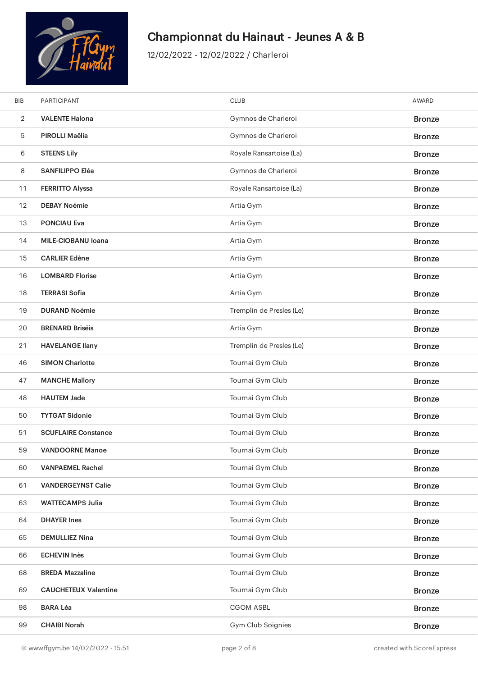

| <b>BIB</b>     | <b>PARTICIPANT</b>          | <b>CLUB</b>              | <b>AWARD</b>  |
|----------------|-----------------------------|--------------------------|---------------|
| $\overline{2}$ | <b>VALENTE Halona</b>       | Gymnos de Charleroi      | <b>Bronze</b> |
| 5              | PIROLLI Maëlia              | Gymnos de Charleroi      | <b>Bronze</b> |
| 6              | <b>STEENS Lily</b>          | Royale Ransartoise (La)  | <b>Bronze</b> |
| 8              | <b>SANFILIPPO Eléa</b>      | Gymnos de Charleroi      | <b>Bronze</b> |
| 11             | <b>FERRITTO Alyssa</b>      | Royale Ransartoise (La)  | <b>Bronze</b> |
| 12             | <b>DEBAY Noémie</b>         | Artia Gym                | <b>Bronze</b> |
| 13             | <b>PONCIAU Eva</b>          | Artia Gym                | <b>Bronze</b> |
| 14             | MILE-CIOBANU Ioana          | Artia Gym                | <b>Bronze</b> |
| 15             | <b>CARLIER Edène</b>        | Artia Gym                | <b>Bronze</b> |
| 16             | <b>LOMBARD Florise</b>      | Artia Gym                | <b>Bronze</b> |
| 18             | <b>TERRASI Sofia</b>        | Artia Gym                | <b>Bronze</b> |
| 19             | <b>DURAND Noémie</b>        | Tremplin de Presles (Le) | <b>Bronze</b> |
| 20             | <b>BRENARD Briséis</b>      | Artia Gym                | <b>Bronze</b> |
| 21             | <b>HAVELANGE Ilany</b>      | Tremplin de Presles (Le) | <b>Bronze</b> |
| 46             | <b>SIMON Charlotte</b>      | Tournai Gym Club         | <b>Bronze</b> |
| 47             | <b>MANCHE Mallory</b>       | Tournai Gym Club         | <b>Bronze</b> |
| 48             | <b>HAUTEM Jade</b>          | Tournai Gym Club         | <b>Bronze</b> |
| 50             | <b>TYTGAT Sidonie</b>       | Tournai Gym Club         | <b>Bronze</b> |
| 51             | <b>SCUFLAIRE Constance</b>  | Tournai Gym Club         | <b>Bronze</b> |
| 59             | <b>VANDOORNE Manoe</b>      | Tournai Gym Club         | <b>Bronze</b> |
| 60             | <b>VANPAEMEL Rachel</b>     | Tournai Gym Club         | <b>Bronze</b> |
| 61             | <b>VANDERGEYNST Calie</b>   | Tournai Gym Club         | <b>Bronze</b> |
| 63             | <b>WATTECAMPS Julia</b>     | Tournai Gym Club         | <b>Bronze</b> |
| 64             | <b>DHAYER Ines</b>          | Tournai Gym Club         | <b>Bronze</b> |
| 65             | <b>DEMULLIEZ Nina</b>       | Tournai Gym Club         | <b>Bronze</b> |
| 66             | <b>ECHEVIN Inès</b>         | Tournai Gym Club         | <b>Bronze</b> |
| 68             | <b>BREDA Mazzaline</b>      | Tournai Gym Club         | <b>Bronze</b> |
| 69             | <b>CAUCHETEUX Valentine</b> | Tournai Gym Club         | <b>Bronze</b> |
| 98             | <b>BARA Léa</b>             | <b>CGOM ASBL</b>         | <b>Bronze</b> |
| 99             | <b>CHAIBI Norah</b>         | Gym Club Soignies        | <b>Bronze</b> |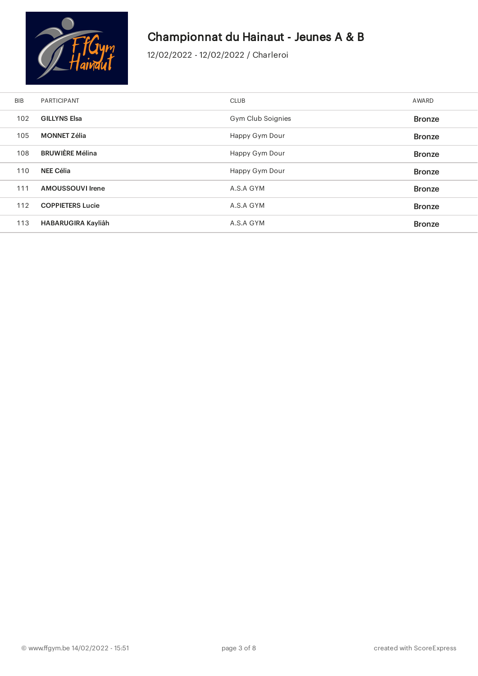

ł

ł

ł

L

i.

# Championnat du Hainaut - Jeunes A & B

| <b>BIB</b> | <b>PARTICIPANT</b>      | <b>CLUB</b>       | AWARD         |
|------------|-------------------------|-------------------|---------------|
| 102        | <b>GILLYNS Elsa</b>     | Gym Club Soignies | <b>Bronze</b> |
| 105        | <b>MONNET Zélia</b>     | Happy Gym Dour    | <b>Bronze</b> |
| 108        | <b>BRUWIÈRE Mélina</b>  | Happy Gym Dour    | <b>Bronze</b> |
| 110        | NEE Célia               | Happy Gym Dour    | <b>Bronze</b> |
| 111        | AMOUSSOUVI Irene        | A.S.A GYM         | <b>Bronze</b> |
| 112        | <b>COPPIETERS Lucie</b> | A.S.A GYM         | <b>Bronze</b> |
| 113        | HABARUGIRA Kayliâh      | A.S.A GYM         | <b>Bronze</b> |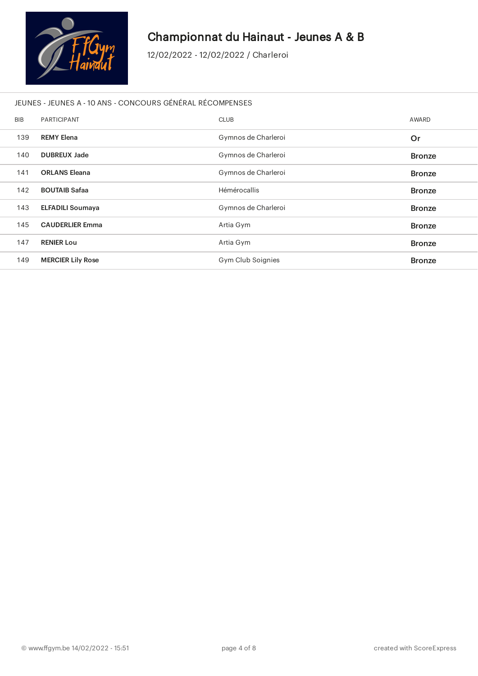

J

l

l

J

## Championnat du Hainaut - Jeunes A & B

12/02/2022 - 12/02/2022 / Charleroi

#### JEUNES - JEUNES A - 10 ANS - CONCOURS GÉNÉRAL RÉCOMPENSES

| <b>BIB</b> | <b>PARTICIPANT</b>       | <b>CLUB</b>         | AWARD         |
|------------|--------------------------|---------------------|---------------|
| 139        | <b>REMY Elena</b>        | Gymnos de Charleroi | Or            |
| 140        | <b>DUBREUX Jade</b>      | Gymnos de Charleroi | <b>Bronze</b> |
| 141        | <b>ORLANS Eleana</b>     | Gymnos de Charleroi | <b>Bronze</b> |
| 142        | <b>BOUTAIB Safaa</b>     | Hémérocallis        | <b>Bronze</b> |
| 143        | <b>ELFADILI Soumaya</b>  | Gymnos de Charleroi | <b>Bronze</b> |
| 145        | <b>CAUDERLIER Emma</b>   | Artia Gym           | <b>Bronze</b> |
| 147        | <b>RENIER Lou</b>        | Artia Gym           | <b>Bronze</b> |
| 149        | <b>MERCIER Lily Rose</b> | Gym Club Soignies   | <b>Bronze</b> |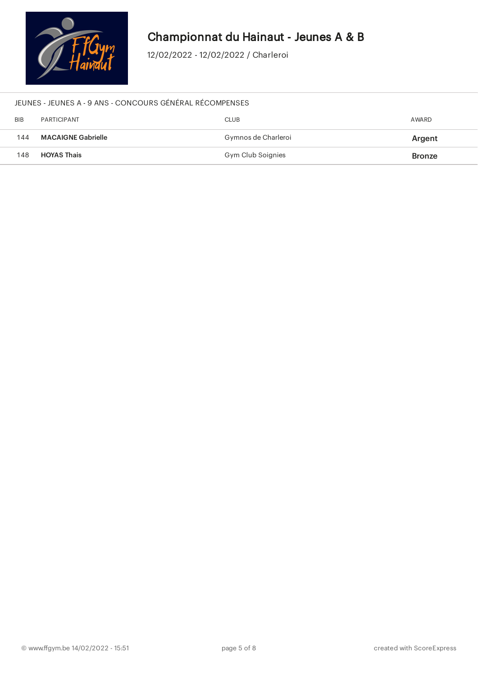

12/02/2022 - 12/02/2022 / Charleroi

#### JEUNES - JEUNES A - 9 ANS - CONCOURS GÉNÉRAL RÉCOMPENSES

| <b>BIB</b> | PARTICIPANT               | <b>CLUB</b>         | AWARD         |
|------------|---------------------------|---------------------|---------------|
| 144        | <b>MACAIGNE Gabrielle</b> | Gymnos de Charleroi | Argent        |
| 148        | <b>HOYAS Thais</b>        | Gym Club Soignies   | <b>Bronze</b> |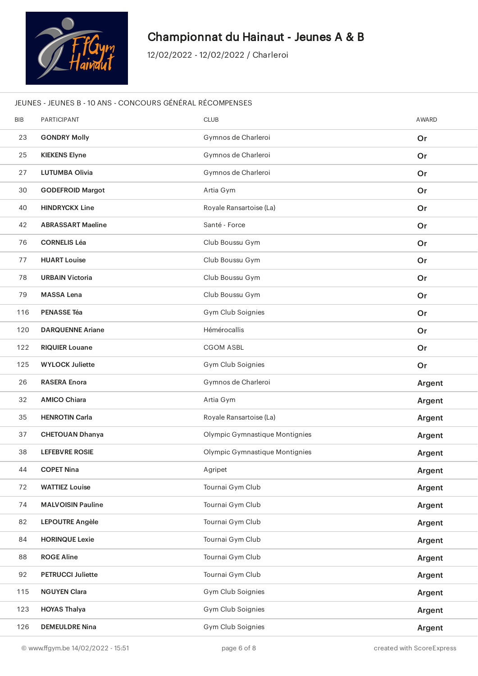

12/02/2022 - 12/02/2022 / Charleroi

#### JEUNES - JEUNES B - 10 ANS - CONCOURS GÉNÉRAL RÉCOMPENSES

| <b>BIB</b> | PARTICIPANT              | <b>CLUB</b>                    | AWARD  |
|------------|--------------------------|--------------------------------|--------|
| 23         | <b>GONDRY Molly</b>      | Gymnos de Charleroi            | Or     |
| 25         | <b>KIEKENS Elyne</b>     | Gymnos de Charleroi            | Or     |
| 27         | <b>LUTUMBA Olivia</b>    | Gymnos de Charleroi            | Or     |
| 30         | <b>GODEFROID Margot</b>  | Artia Gym                      | Or     |
| 40         | <b>HINDRYCKX Line</b>    | Royale Ransartoise (La)        | Or     |
| 42         | <b>ABRASSART Maeline</b> | Santé - Force                  | Or     |
| 76         | <b>CORNELIS Léa</b>      | Club Boussu Gym                | Or     |
| 77         | <b>HUART Louise</b>      | Club Boussu Gym                | Or     |
| 78         | <b>URBAIN Victoria</b>   | Club Boussu Gym                | Or     |
| 79         | <b>MASSA Lena</b>        | Club Boussu Gym                | Or     |
| 116        | <b>PENASSE Téa</b>       | Gym Club Soignies              | Or     |
| 120        | <b>DARQUENNE Ariane</b>  | Hémérocallis                   | Or     |
| 122        | <b>RIQUIER Louane</b>    | <b>CGOM ASBL</b>               | Or     |
| 125        | <b>WYLOCK Juliette</b>   | Gym Club Soignies              | Or     |
|            |                          |                                |        |
| 26         | <b>RASERA Enora</b>      | Gymnos de Charleroi            | Argent |
| 32         | <b>AMICO Chiara</b>      | Artia Gym                      | Argent |
| 35         | <b>HENROTIN Carla</b>    | Royale Ransartoise (La)        | Argent |
| 37         | <b>CHETOUAN Dhanya</b>   | Olympic Gymnastique Montignies | Argent |
| 38         | <b>LEFEBVRE ROSIE</b>    | Olympic Gymnastique Montignies | Argent |
| 44         | <b>COPET Nina</b>        | Agripet                        | Argent |
| 72         | <b>WATTIEZ Louise</b>    | Tournai Gym Club               | Argent |
| 74         | <b>MALVOISIN Pauline</b> | Tournai Gym Club               | Argent |
| 82         | LEPOUTRE Angèle          | Tournai Gym Club               | Argent |
| 84         | <b>HORINQUE Lexie</b>    | Tournai Gym Club               | Argent |
| 88         | <b>ROGE Aline</b>        | Tournai Gym Club               | Argent |
| 92         | <b>PETRUCCI Juliette</b> | Tournai Gym Club               | Argent |
| 115        | <b>NGUYEN Clara</b>      | Gym Club Soignies              | Argent |
| 123        | <b>HOYAS Thalya</b>      | Gym Club Soignies              | Argent |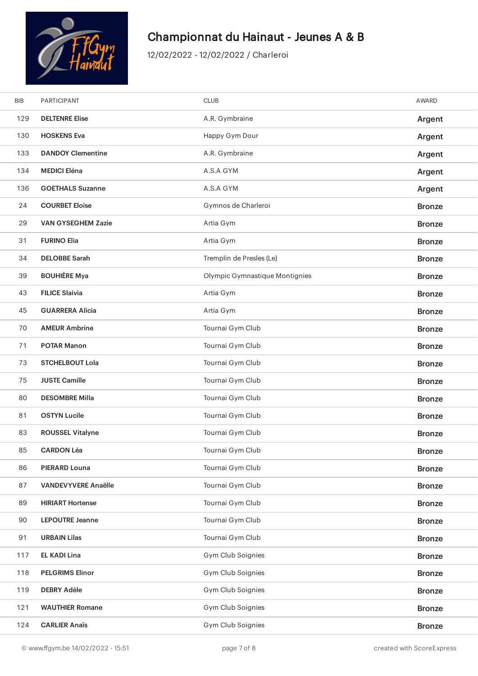

| <b>BIB</b> | PARTICIPANT                | <b>CLUB</b>                    | AWARD         |
|------------|----------------------------|--------------------------------|---------------|
| 129        | <b>DELTENRE Elise</b>      | A.R. Gymbraine                 | Argent        |
| 130        | <b>HOSKENS Eva</b>         | Happy Gym Dour                 | Argent        |
| 133        | <b>DANDOY Clementine</b>   | A.R. Gymbraine                 | Argent        |
| 134        | <b>MEDICI Eléna</b>        | A.S.A GYM                      | Argent        |
| 136        | <b>GOETHALS Suzanne</b>    | A.S.A GYM                      | Argent        |
| 24         | <b>COURBET Eloise</b>      | Gymnos de Charleroi            | <b>Bronze</b> |
| 29         | <b>VAN GYSEGHEM Zazie</b>  | Artia Gym                      | <b>Bronze</b> |
| 31         | <b>FURINO Elia</b>         | Artia Gym                      | <b>Bronze</b> |
| 34         | <b>DELOBBE Sarah</b>       | Tremplin de Presles (Le)       | <b>Bronze</b> |
| 39         | <b>BOUHIÈRE Mya</b>        | Olympic Gymnastique Montignies | <b>Bronze</b> |
| 43         | <b>FILICE Slaivia</b>      | Artia Gym                      | <b>Bronze</b> |
| 45         | <b>GUARRERA Alicia</b>     | Artia Gym                      | <b>Bronze</b> |
| 70         | <b>AMEUR Ambrine</b>       | Tournai Gym Club               | <b>Bronze</b> |
| 71         | <b>POTAR Manon</b>         | Tournai Gym Club               | <b>Bronze</b> |
| 73         | <b>STCHELBOUT Lola</b>     | Tournai Gym Club               | <b>Bronze</b> |
| 75         | <b>JUSTE Camille</b>       | Tournai Gym Club               | <b>Bronze</b> |
| 80         | <b>DESOMBRE Milla</b>      | Tournai Gym Club               | <b>Bronze</b> |
| 81         | <b>OSTYN Lucile</b>        | Tournai Gym Club               | <b>Bronze</b> |
| 83         | <b>ROUSSEL Vitalyne</b>    | Tournai Gym Club               | <b>Bronze</b> |
| 85         | <b>CARDON Léa</b>          | Tournai Gym Club               | <b>Bronze</b> |
| 86         | PIERARD Louna              | Tournai Gym Club               | <b>Bronze</b> |
| 87         | <b>VANDEVYVERE Anaëlle</b> | Tournai Gym Club               | <b>Bronze</b> |
| 89         | <b>HIRIART Hortense</b>    | Tournai Gym Club               | <b>Bronze</b> |
| 90         | <b>LEPOUTRE Jeanne</b>     | Tournai Gym Club               | <b>Bronze</b> |
| 91         | <b>URBAIN Lilas</b>        | Tournai Gym Club               | <b>Bronze</b> |
| 117        | <b>EL KADI Lina</b>        | Gym Club Soignies              | <b>Bronze</b> |
| 118        | <b>PELGRIMS Elinor</b>     | Gym Club Soignies              | <b>Bronze</b> |
| 119        | <b>DEBRY Adèle</b>         | Gym Club Soignies              | <b>Bronze</b> |
| 121        | <b>WAUTHIER Romane</b>     | Gym Club Soignies              | <b>Bronze</b> |
| 124        | <b>CARLIER Anaïs</b>       | Gym Club Soignies              | <b>Bronze</b> |